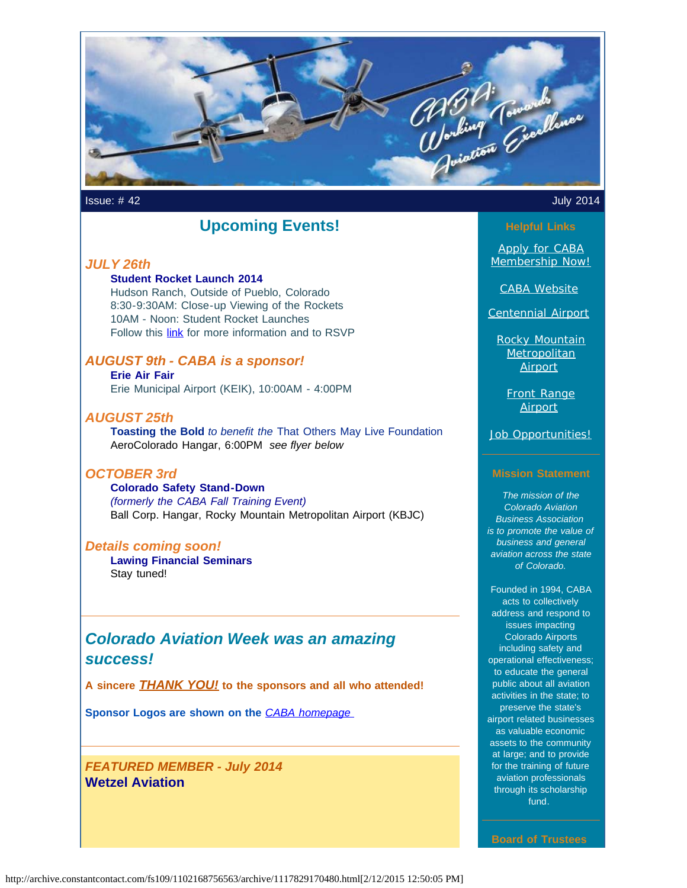

Issue: # 42 July 2014

### **Upcoming Events!**

#### *JULY 26th*

#### **Student Rocket Launch 2014**

Hudson Ranch, Outside of Pueblo, Colorado 8:30-9:30AM: Close-up Viewing of the Rockets 10AM - Noon: Student Rocket Launches Follow this **[link](http://www.ulalaunch.com/intern-rocket-next-launch.aspx?utm_source=Newsletter+July+2014&utm_campaign=July+2014+Newsletter&utm_medium=email)** for more information and to RSVP

### *AUGUST 9th - CABA is a sponsor!*

**Erie Air Fair** Erie Municipal Airport (KEIK), 10:00AM - 4:00PM

#### *AUGUST 25th*

**Toasting the Bold** *to benefit the* That Others May Live Foundation AeroColorado Hangar, 6:00PM *see flyer below*

#### *OCTOBER 3rd*

**Colorado Safety Stand-Down**  *(formerly the CABA Fall Training Event)* Ball Corp. Hangar, Rocky Mountain Metropolitan Airport (KBJC)

#### *Details coming soon!*

**Lawing Financial Seminars** Stay tuned!

### *Colorado Aviation Week was an amazing success!*

**A sincere** *THANK YOU!* **to the sponsors and all who attended!**

**Sponsor Logos are shown on the** *[CABA homepage](http://www.mycaba.org/?utm_source=Newsletter+July+2014&utm_campaign=July+2014+Newsletter&utm_medium=email)*

*FEATURED MEMBER - July 2014* **Wetzel Aviation**

[Apply for CABA](http://www.mycaba.org/application?utm_source=Newsletter+July+2014&utm_campaign=July+2014+Newsletter&utm_medium=email) [Membership Now!](http://www.mycaba.org/application?utm_source=Newsletter+July+2014&utm_campaign=July+2014+Newsletter&utm_medium=email)

[CABA Website](http://www.mycaba.org/?utm_source=Newsletter+July+2014&utm_campaign=July+2014+Newsletter&utm_medium=email)

[Centennial Airport](http://centennialairport.com/?utm_source=Newsletter+July+2014&utm_campaign=July+2014+Newsletter&utm_medium=email)

[Rocky Mountain](http://jeffco.us/airport/?utm_source=Newsletter+July+2014&utm_campaign=July+2014+Newsletter&utm_medium=email) **[Metropolitan](http://jeffco.us/airport/?utm_source=Newsletter+July+2014&utm_campaign=July+2014+Newsletter&utm_medium=email)** [Airport](http://jeffco.us/airport/?utm_source=Newsletter+July+2014&utm_campaign=July+2014+Newsletter&utm_medium=email)

[Front Range](http://www.ftg-airport.com/?utm_source=Newsletter+July+2014&utm_campaign=July+2014+Newsletter&utm_medium=email) **[Airport](http://www.ftg-airport.com/?utm_source=Newsletter+July+2014&utm_campaign=July+2014+Newsletter&utm_medium=email)** 

[Job Opportunities!](http://mycaba.org/JobOps?utm_source=Newsletter+July+2014&utm_campaign=July+2014+Newsletter&utm_medium=email)

#### **Mission Statement**

*The mission of the Colorado Aviation Business Association is to promote the value of business and general aviation across the state of Colorado.*

Founded in 1994, CABA acts to collectively address and respond to issues impacting Colorado Airports including safety and operational effectiveness; to educate the general public about all aviation activities in the state; to preserve the state's airport related businesses as valuable economic assets to the community at large; and to provide for the training of future aviation professionals through its scholarship fund.

**Board of Trustees**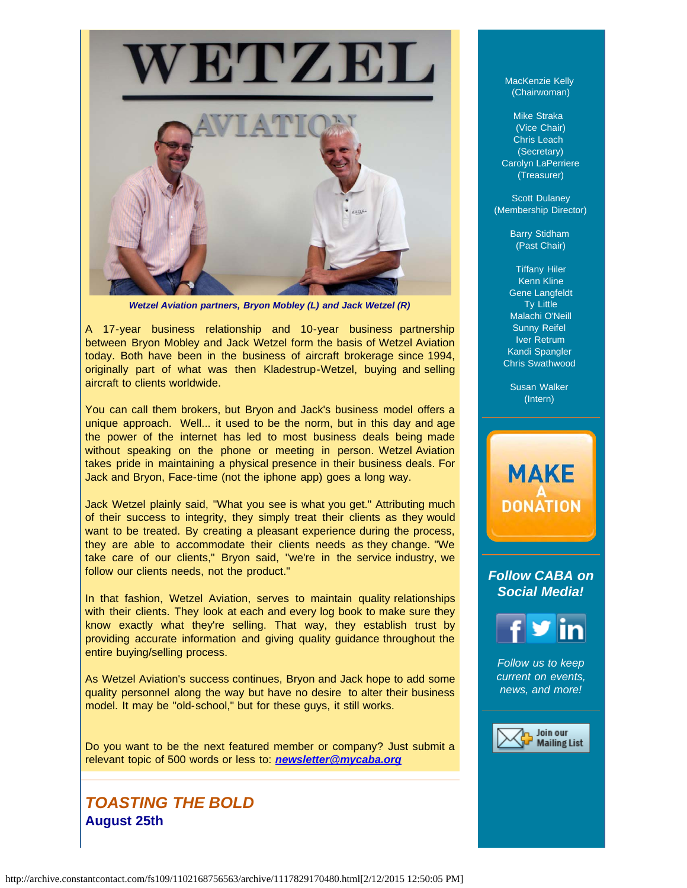

*Wetzel Aviation partners, Bryon Mobley (L) and Jack Wetzel (R)*

A 17-year business relationship and 10-year business partnership between Bryon Mobley and Jack Wetzel form the basis of Wetzel Aviation today. Both have been in the business of aircraft brokerage since 1994, originally part of what was then Kladestrup-Wetzel, buying and selling aircraft to clients worldwide.

You can call them brokers, but Bryon and Jack's business model offers a unique approach. Well... it used to be the norm, but in this day and age the power of the internet has led to most business deals being made without speaking on the phone or meeting in person. Wetzel Aviation takes pride in maintaining a physical presence in their business deals. For Jack and Bryon, Face-time (not the iphone app) goes a long way.

Jack Wetzel plainly said, "What you see is what you get." Attributing much of their success to integrity, they simply treat their clients as they would want to be treated. By creating a pleasant experience during the process, they are able to accommodate their clients needs as they change. "We take care of our clients," Bryon said, "we're in the service industry, we follow our clients needs, not the product."

In that fashion, Wetzel Aviation, serves to maintain quality relationships with their clients. They look at each and every log book to make sure they know exactly what they're selling. That way, they establish trust by providing accurate information and giving quality guidance throughout the entire buying/selling process.

As Wetzel Aviation's success continues, Bryon and Jack hope to add some quality personnel along the way but have no desire to alter their business model. It may be "old-school," but for these guys, it still works.

Do you want to be the next featured member or company? Just submit a relevant topic of 500 words or less to: *[newsletter@mycaba.org](mailto:bdavies@mycaba.org)* 

### *TOASTING THE BOLD* **August 25th**

MacKenzie Kelly (Chairwoman)

Mike Straka (Vice Chair) Chris Leach (Secretary) Carolyn LaPerriere (Treasurer)

Scott Dulaney (Membership Director)

> Barry Stidham (Past Chair)

Tiffany Hiler Kenn Kline Gene Langfeldt Ty Little Malachi O'Neill Sunny Reifel Iver Retrum Kandi Spangler Chris Swathwood

Susan Walker (Intern)

**MAKE** 

**DONATION** 

## *Follow CABA on Social Media!*



*Follow us to keep current on events, news, and more!*

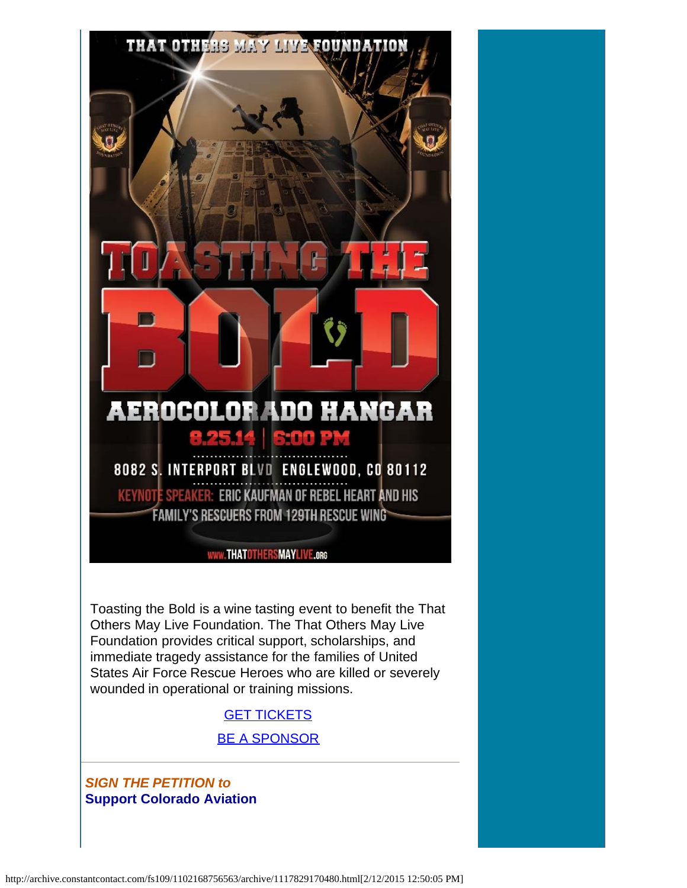

*SIGN THE PETITION to*  **Support Colorado Aviation**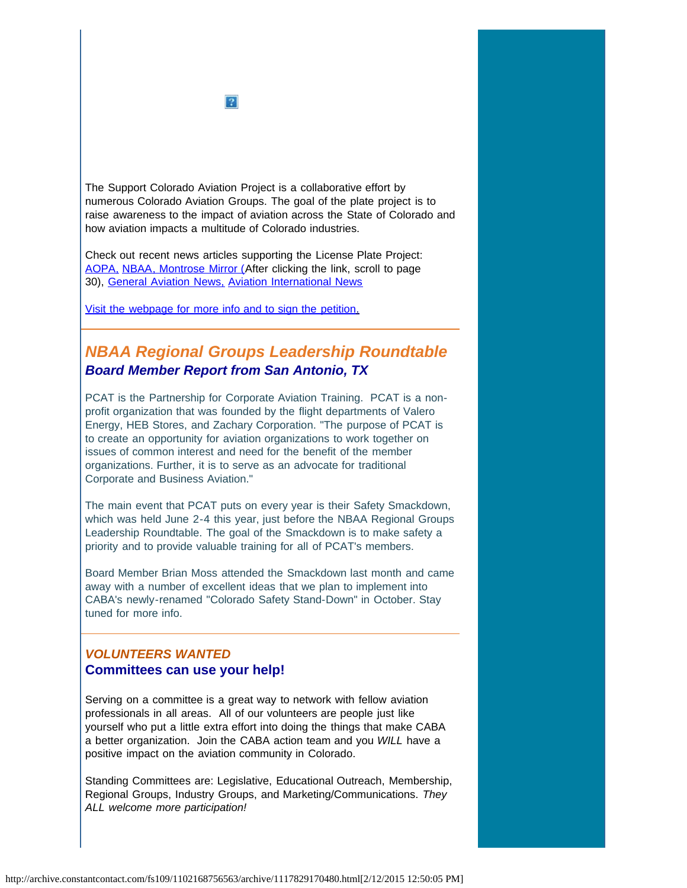

The Support Colorado Aviation Project is a collaborative effort by numerous Colorado Aviation Groups. The goal of the plate project is to raise awareness to the impact of aviation across the State of Colorado and how aviation impacts a multitude of Colorado industries.

Check out recent news articles supporting the License Plate Project: [AOPA,](http://www.aopa.org/News-and-Video/All-News/2014/June/11/Colorado-petition-seeks-aviation-license-plate.aspx?utm_source=Newsletter+July+2014&utm_campaign=July+2014+Newsletter&utm_medium=email) [NBAA](http://www.nbaa.org/advocacy/regional/20140704-proposed-license-plate-would-support-colorado-aviation.php?utm_source=Newsletter+July+2014&utm_campaign=July+2014+Newsletter&utm_medium=email)[, Montrose Mirror \(A](http://montrosemirror.com/wp-content/uploads/2014/07/ISSUE88.pdf?utm_source=Campaign+Created+2014%2F07%2F15%2C+7%3A14+AM&utm_campaign=ISSUE88&utm_medium=email&utm_source=Newsletter+July+2014&utm_campaign=July+2014+Newsletter&utm_medium=email)fter clicking the link, scroll to page 30), [General Aviation News,](http://generalaviationnews.com/2014/06/30/colorado-support-aviation-license-plate-introduced/?utm_source=Newsletter+July+2014&utm_campaign=July+2014+Newsletter&utm_medium=email) [Aviation International News](http://www.ainonline.com/aviation-news/ainalerts/2014-06-19/colorado-aviation-groups-seek-signatures-aviation-license-plate-project?utm_source=Newsletter+July+2014&utm_campaign=July+2014+Newsletter&utm_medium=email)

[Visit the webpage for more info and to sign the petition.](http://www.supportcoloradoaviation.com/?utm_source=Newsletter+July+2014&utm_campaign=July+2014+Newsletter&utm_medium=email)

### *NBAA Regional Groups Leadership Roundtable Board Member Report from San Antonio, TX*

PCAT is the Partnership for Corporate Aviation Training. PCAT is a nonprofit organization that was founded by the flight departments of Valero Energy, HEB Stores, and Zachary Corporation. "The purpose of PCAT is to create an opportunity for aviation organizations to work together on issues of common interest and need for the benefit of the member organizations. Further, it is to serve as an advocate for traditional Corporate and Business Aviation."

The main event that PCAT puts on every year is their Safety Smackdown, which was held June 2-4 this year, just before the NBAA Regional Groups Leadership Roundtable. The goal of the Smackdown is to make safety a priority and to provide valuable training for all of PCAT's members.

Board Member Brian Moss attended the Smackdown last month and came away with a number of excellent ideas that we plan to implement into CABA's newly-renamed "Colorado Safety Stand-Down" in October. Stay tuned for more info.

### *VOLUNTEERS WANTED* **Committees can use your help!**

Serving on a committee is a great way to network with fellow aviation professionals in all areas. All of our volunteers are people just like yourself who put a little extra effort into doing the things that make CABA a better organization. Join the CABA action team and you *WILL* have a positive impact on the aviation community in Colorado.

Standing Committees are: Legislative, Educational Outreach, Membership, Regional Groups, Industry Groups, and Marketing/Communications. *They ALL welcome more participation!*